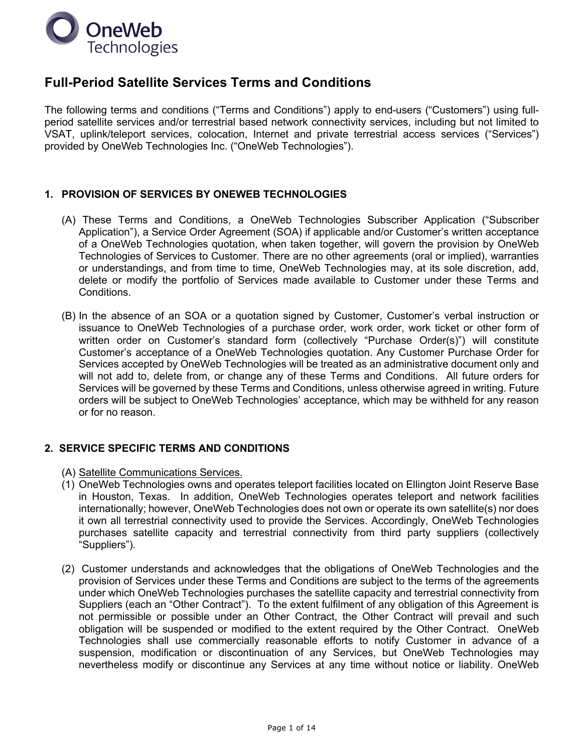

# **Full-Period Satellite Services Terms and Conditions**

The following terms and conditions ("Terms and Conditions") apply to end-users ("Customers") using fullperiod satellite services and/or terrestrial based network connectivity services, including but not limited to VSAT, uplink/teleport services, colocation, Internet and private terrestrial access services ("Services") provided by OneWeb Technologies Inc. ("OneWeb Technologies").

## **1. PROVISION OF SERVICES BY ONEWEB TECHNOLOGIES**

- (A) These Terms and Conditions, a OneWeb Technologies Subscriber Application ("Subscriber Application"), a Service Order Agreement (SOA) if applicable and/or Customer's written acceptance of a OneWeb Technologies quotation, when taken together, will govern the provision by OneWeb Technologies of Services to Customer. There are no other agreements (oral or implied), warranties or understandings, and from time to time, OneWeb Technologies may, at its sole discretion, add, delete or modify the portfolio of Services made available to Customer under these Terms and Conditions.
- (B) In the absence of an SOA or a quotation signed by Customer, Customer's verbal instruction or issuance to OneWeb Technologies of a purchase order, work order, work ticket or other form of written order on Customer's standard form (collectively "Purchase Order(s)") will constitute Customer's acceptance of a OneWeb Technologies quotation. Any Customer Purchase Order for Services accepted by OneWeb Technologies will be treated as an administrative document only and will not add to, delete from, or change any of these Terms and Conditions. All future orders for Services will be governed by these Terms and Conditions, unless otherwise agreed in writing. Future orders will be subject to OneWeb Technologies' acceptance, which may be withheld for any reason or for no reason.

## **2. SERVICE SPECIFIC TERMS AND CONDITIONS**

- (A) Satellite Communications Services.
- (1) OneWeb Technologies owns and operates teleport facilities located on Ellington Joint Reserve Base in Houston, Texas. In addition, OneWeb Technologies operates teleport and network facilities internationally; however, OneWeb Technologies does not own or operate its own satellite(s) nor does it own all terrestrial connectivity used to provide the Services. Accordingly, OneWeb Technologies purchases satellite capacity and terrestrial connectivity from third party suppliers (collectively "Suppliers").
- (2) Customer understands and acknowledges that the obligations of OneWeb Technologies and the provision of Services under these Terms and Conditions are subject to the terms of the agreements under which OneWeb Technologies purchases the satellite capacity and terrestrial connectivity from Suppliers (each an "Other Contract"). To the extent fulfilment of any obligation of this Agreement is not permissible or possible under an Other Contract, the Other Contract will prevail and such obligation will be suspended or modified to the extent required by the Other Contract. OneWeb Technologies shall use commercially reasonable efforts to notify Customer in advance of a suspension, modification or discontinuation of any Services, but OneWeb Technologies may nevertheless modify or discontinue any Services at any time without notice or liability. OneWeb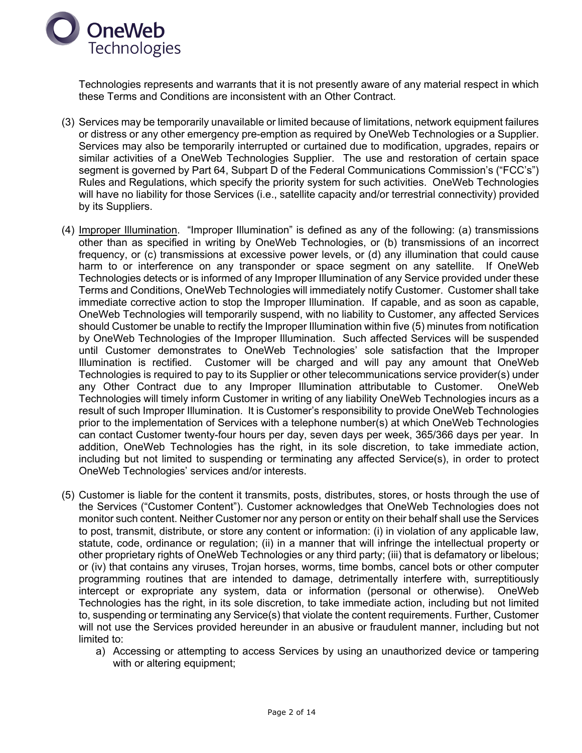

Technologies represents and warrants that it is not presently aware of any material respect in which these Terms and Conditions are inconsistent with an Other Contract.

- (3) Services may be temporarily unavailable or limited because of limitations, network equipment failures or distress or any other emergency pre-emption as required by OneWeb Technologies or a Supplier. Services may also be temporarily interrupted or curtained due to modification, upgrades, repairs or similar activities of a OneWeb Technologies Supplier. The use and restoration of certain space segment is governed by Part 64, Subpart D of the Federal Communications Commission's ("FCC's") Rules and Regulations, which specify the priority system for such activities. OneWeb Technologies will have no liability for those Services (i.e., satellite capacity and/or terrestrial connectivity) provided by its Suppliers.
- (4) Improper Illumination. "Improper Illumination" is defined as any of the following: (a) transmissions other than as specified in writing by OneWeb Technologies, or (b) transmissions of an incorrect frequency, or (c) transmissions at excessive power levels, or (d) any illumination that could cause harm to or interference on any transponder or space segment on any satellite. If OneWeb Technologies detects or is informed of any Improper Illumination of any Service provided under these Terms and Conditions, OneWeb Technologies will immediately notify Customer. Customer shall take immediate corrective action to stop the Improper Illumination. If capable, and as soon as capable, OneWeb Technologies will temporarily suspend, with no liability to Customer, any affected Services should Customer be unable to rectify the Improper Illumination within five (5) minutes from notification by OneWeb Technologies of the Improper Illumination. Such affected Services will be suspended until Customer demonstrates to OneWeb Technologies' sole satisfaction that the Improper Illumination is rectified. Customer will be charged and will pay any amount that OneWeb Technologies is required to pay to its Supplier or other telecommunications service provider(s) under any Other Contract due to any Improper Illumination attributable to Customer. OneWeb Technologies will timely inform Customer in writing of any liability OneWeb Technologies incurs as a result of such Improper Illumination. It is Customer's responsibility to provide OneWeb Technologies prior to the implementation of Services with a telephone number(s) at which OneWeb Technologies can contact Customer twenty-four hours per day, seven days per week, 365/366 days per year. In addition, OneWeb Technologies has the right, in its sole discretion, to take immediate action, including but not limited to suspending or terminating any affected Service(s), in order to protect OneWeb Technologies' services and/or interests.
- (5) Customer is liable for the content it transmits, posts, distributes, stores, or hosts through the use of the Services ("Customer Content"). Customer acknowledges that OneWeb Technologies does not monitor such content. Neither Customer nor any person or entity on their behalf shall use the Services to post, transmit, distribute, or store any content or information: (i) in violation of any applicable law, statute, code, ordinance or regulation; (ii) in a manner that will infringe the intellectual property or other proprietary rights of OneWeb Technologies or any third party; (iii) that is defamatory or libelous; or (iv) that contains any viruses, Trojan horses, worms, time bombs, cancel bots or other computer programming routines that are intended to damage, detrimentally interfere with, surreptitiously intercept or expropriate any system, data or information (personal or otherwise). OneWeb Technologies has the right, in its sole discretion, to take immediate action, including but not limited to, suspending or terminating any Service(s) that violate the content requirements. Further, Customer will not use the Services provided hereunder in an abusive or fraudulent manner, including but not limited to:
	- a) Accessing or attempting to access Services by using an unauthorized device or tampering with or altering equipment;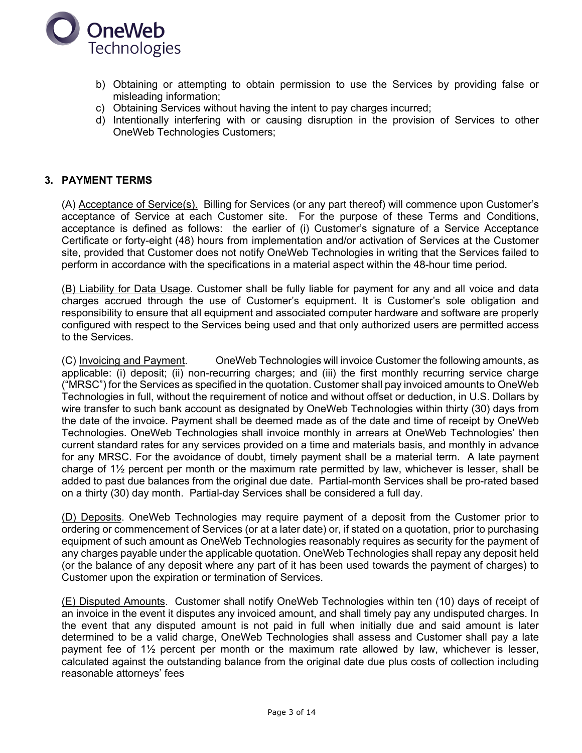

- b) Obtaining or attempting to obtain permission to use the Services by providing false or misleading information;
- c) Obtaining Services without having the intent to pay charges incurred;
- d) Intentionally interfering with or causing disruption in the provision of Services to other OneWeb Technologies Customers;

## **3. PAYMENT TERMS**

(A) Acceptance of Service(s). Billing for Services (or any part thereof) will commence upon Customer's acceptance of Service at each Customer site. For the purpose of these Terms and Conditions, acceptance is defined as follows: the earlier of (i) Customer's signature of a Service Acceptance Certificate or forty-eight (48) hours from implementation and/or activation of Services at the Customer site, provided that Customer does not notify OneWeb Technologies in writing that the Services failed to perform in accordance with the specifications in a material aspect within the 48-hour time period.

(B) Liability for Data Usage. Customer shall be fully liable for payment for any and all voice and data charges accrued through the use of Customer's equipment. It is Customer's sole obligation and responsibility to ensure that all equipment and associated computer hardware and software are properly configured with respect to the Services being used and that only authorized users are permitted access to the Services.

(C) Invoicing and Payment. OneWeb Technologies will invoice Customer the following amounts, as applicable: (i) deposit; (ii) non-recurring charges; and (iii) the first monthly recurring service charge ("MRSC") for the Services as specified in the quotation. Customer shall pay invoiced amounts to OneWeb Technologies in full, without the requirement of notice and without offset or deduction, in U.S. Dollars by wire transfer to such bank account as designated by OneWeb Technologies within thirty (30) days from the date of the invoice. Payment shall be deemed made as of the date and time of receipt by OneWeb Technologies. OneWeb Technologies shall invoice monthly in arrears at OneWeb Technologies' then current standard rates for any services provided on a time and materials basis, and monthly in advance for any MRSC. For the avoidance of doubt, timely payment shall be a material term. A late payment charge of 1½ percent per month or the maximum rate permitted by law, whichever is lesser, shall be added to past due balances from the original due date. Partial-month Services shall be pro-rated based on a thirty (30) day month. Partial-day Services shall be considered a full day.

(D) Deposits. OneWeb Technologies may require payment of a deposit from the Customer prior to ordering or commencement of Services (or at a later date) or, if stated on a quotation, prior to purchasing equipment of such amount as OneWeb Technologies reasonably requires as security for the payment of any charges payable under the applicable quotation. OneWeb Technologies shall repay any deposit held (or the balance of any deposit where any part of it has been used towards the payment of charges) to Customer upon the expiration or termination of Services.

(E) Disputed Amounts. Customer shall notify OneWeb Technologies within ten (10) days of receipt of an invoice in the event it disputes any invoiced amount, and shall timely pay any undisputed charges. In the event that any disputed amount is not paid in full when initially due and said amount is later determined to be a valid charge, OneWeb Technologies shall assess and Customer shall pay a late payment fee of 1½ percent per month or the maximum rate allowed by law, whichever is lesser, calculated against the outstanding balance from the original date due plus costs of collection including reasonable attorneys' fees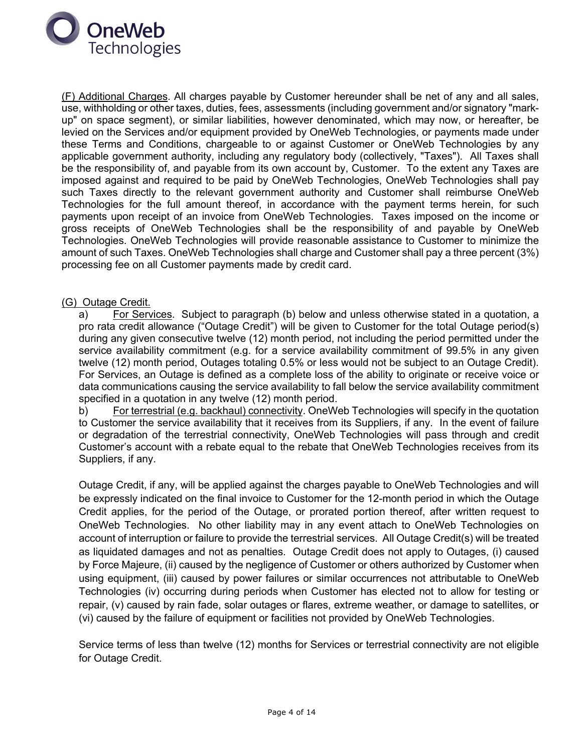

(F) Additional Charges. All charges payable by Customer hereunder shall be net of any and all sales, use, withholding or other taxes, duties, fees, assessments (including government and/or signatory "markup" on space segment), or similar liabilities, however denominated, which may now, or hereafter, be levied on the Services and/or equipment provided by OneWeb Technologies, or payments made under these Terms and Conditions, chargeable to or against Customer or OneWeb Technologies by any applicable government authority, including any regulatory body (collectively, "Taxes"). All Taxes shall be the responsibility of, and payable from its own account by, Customer. To the extent any Taxes are imposed against and required to be paid by OneWeb Technologies, OneWeb Technologies shall pay such Taxes directly to the relevant government authority and Customer shall reimburse OneWeb Technologies for the full amount thereof, in accordance with the payment terms herein, for such payments upon receipt of an invoice from OneWeb Technologies. Taxes imposed on the income or gross receipts of OneWeb Technologies shall be the responsibility of and payable by OneWeb Technologies. OneWeb Technologies will provide reasonable assistance to Customer to minimize the amount of such Taxes. OneWeb Technologies shall charge and Customer shall pay a three percent (3%) processing fee on all Customer payments made by credit card.

## (G) Outage Credit.

a) For Services. Subject to paragraph (b) below and unless otherwise stated in a quotation, a pro rata credit allowance ("Outage Credit") will be given to Customer for the total Outage period(s) during any given consecutive twelve (12) month period, not including the period permitted under the service availability commitment (e.g. for a service availability commitment of 99.5% in any given twelve (12) month period, Outages totaling 0.5% or less would not be subject to an Outage Credit). For Services, an Outage is defined as a complete loss of the ability to originate or receive voice or data communications causing the service availability to fall below the service availability commitment specified in a quotation in any twelve (12) month period.

b) For terrestrial (e.g. backhaul) connectivity. OneWeb Technologies will specify in the quotation to Customer the service availability that it receives from its Suppliers, if any. In the event of failure or degradation of the terrestrial connectivity, OneWeb Technologies will pass through and credit Customer's account with a rebate equal to the rebate that OneWeb Technologies receives from its Suppliers, if any.

Outage Credit, if any, will be applied against the charges payable to OneWeb Technologies and will be expressly indicated on the final invoice to Customer for the 12-month period in which the Outage Credit applies, for the period of the Outage, or prorated portion thereof, after written request to OneWeb Technologies. No other liability may in any event attach to OneWeb Technologies on account of interruption or failure to provide the terrestrial services. All Outage Credit(s) will be treated as liquidated damages and not as penalties. Outage Credit does not apply to Outages, (i) caused by Force Majeure, (ii) caused by the negligence of Customer or others authorized by Customer when using equipment, (iii) caused by power failures or similar occurrences not attributable to OneWeb Technologies (iv) occurring during periods when Customer has elected not to allow for testing or repair, (v) caused by rain fade, solar outages or flares, extreme weather, or damage to satellites, or (vi) caused by the failure of equipment or facilities not provided by OneWeb Technologies.

Service terms of less than twelve (12) months for Services or terrestrial connectivity are not eligible for Outage Credit.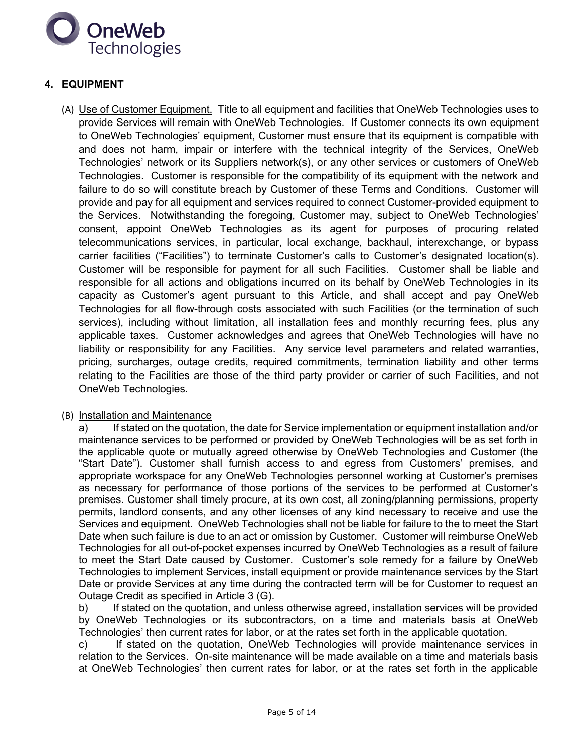

## **4. EQUIPMENT**

(A) Use of Customer Equipment. Title to all equipment and facilities that OneWeb Technologies uses to provide Services will remain with OneWeb Technologies. If Customer connects its own equipment to OneWeb Technologies' equipment, Customer must ensure that its equipment is compatible with and does not harm, impair or interfere with the technical integrity of the Services, OneWeb Technologies' network or its Suppliers network(s), or any other services or customers of OneWeb Technologies. Customer is responsible for the compatibility of its equipment with the network and failure to do so will constitute breach by Customer of these Terms and Conditions. Customer will provide and pay for all equipment and services required to connect Customer-provided equipment to the Services. Notwithstanding the foregoing, Customer may, subject to OneWeb Technologies' consent, appoint OneWeb Technologies as its agent for purposes of procuring related telecommunications services, in particular, local exchange, backhaul, interexchange, or bypass carrier facilities ("Facilities") to terminate Customer's calls to Customer's designated location(s). Customer will be responsible for payment for all such Facilities. Customer shall be liable and responsible for all actions and obligations incurred on its behalf by OneWeb Technologies in its capacity as Customer's agent pursuant to this Article, and shall accept and pay OneWeb Technologies for all flow-through costs associated with such Facilities (or the termination of such services), including without limitation, all installation fees and monthly recurring fees, plus any applicable taxes. Customer acknowledges and agrees that OneWeb Technologies will have no liability or responsibility for any Facilities. Any service level parameters and related warranties, pricing, surcharges, outage credits, required commitments, termination liability and other terms relating to the Facilities are those of the third party provider or carrier of such Facilities, and not OneWeb Technologies.

#### (B) Installation and Maintenance

a) If stated on the quotation, the date for Service implementation or equipment installation and/or maintenance services to be performed or provided by OneWeb Technologies will be as set forth in the applicable quote or mutually agreed otherwise by OneWeb Technologies and Customer (the "Start Date"). Customer shall furnish access to and egress from Customers' premises, and appropriate workspace for any OneWeb Technologies personnel working at Customer's premises as necessary for performance of those portions of the services to be performed at Customer's premises. Customer shall timely procure, at its own cost, all zoning/planning permissions, property permits, landlord consents, and any other licenses of any kind necessary to receive and use the Services and equipment. OneWeb Technologies shall not be liable for failure to the to meet the Start Date when such failure is due to an act or omission by Customer. Customer will reimburse OneWeb Technologies for all out-of-pocket expenses incurred by OneWeb Technologies as a result of failure to meet the Start Date caused by Customer. Customer's sole remedy for a failure by OneWeb Technologies to implement Services, install equipment or provide maintenance services by the Start Date or provide Services at any time during the contracted term will be for Customer to request an Outage Credit as specified in Article 3 (G).

b) If stated on the quotation, and unless otherwise agreed, installation services will be provided by OneWeb Technologies or its subcontractors, on a time and materials basis at OneWeb Technologies' then current rates for labor, or at the rates set forth in the applicable quotation.

c) If stated on the quotation, OneWeb Technologies will provide maintenance services in relation to the Services. On-site maintenance will be made available on a time and materials basis at OneWeb Technologies' then current rates for labor, or at the rates set forth in the applicable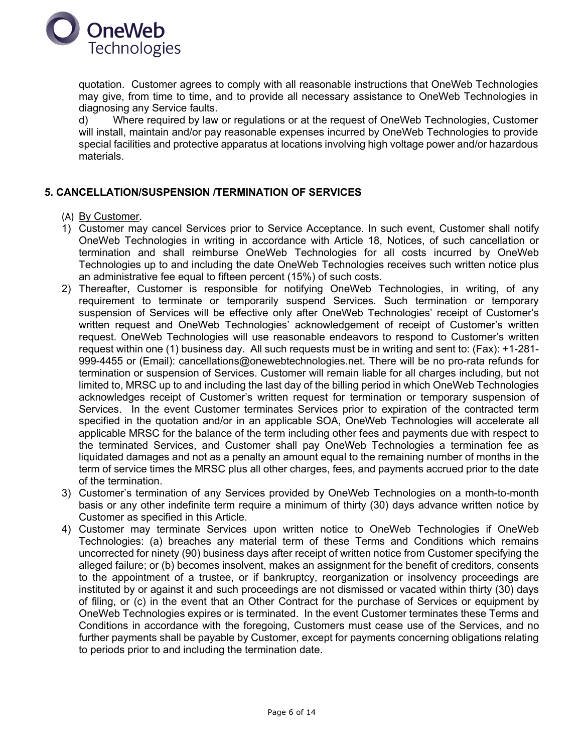

quotation. Customer agrees to comply with all reasonable instructions that OneWeb Technologies may give, from time to time, and to provide all necessary assistance to OneWeb Technologies in diagnosing any Service faults.

d) Where required by law or regulations or at the request of OneWeb Technologies, Customer will install, maintain and/or pay reasonable expenses incurred by OneWeb Technologies to provide special facilities and protective apparatus at locations involving high voltage power and/or hazardous materials.

## **5. CANCELLATION/SUSPENSION /TERMINATION OF SERVICES**

- (A) By Customer.
- 1) Customer may cancel Services prior to Service Acceptance. In such event, Customer shall notify OneWeb Technologies in writing in accordance with Article 18, Notices, of such cancellation or termination and shall reimburse OneWeb Technologies for all costs incurred by OneWeb Technologies up to and including the date OneWeb Technologies receives such written notice plus an administrative fee equal to fifteen percent (15%) of such costs.
- 2) Thereafter, Customer is responsible for notifying OneWeb Technologies, in writing, of any requirement to terminate or temporarily suspend Services. Such termination or temporary suspension of Services will be effective only after OneWeb Technologies' receipt of Customer's written request and OneWeb Technologies' acknowledgement of receipt of Customer's written request. OneWeb Technologies will use reasonable endeavors to respond to Customer's written request within one (1) business day. All such requests must be in writing and sent to: (Fax): +1-281- 999-4455 or (Email): cancellations@onewebtechnologies.net. There will be no pro-rata refunds for termination or suspension of Services. Customer will remain liable for all charges including, but not limited to, MRSC up to and including the last day of the billing period in which OneWeb Technologies acknowledges receipt of Customer's written request for termination or temporary suspension of Services. In the event Customer terminates Services prior to expiration of the contracted term specified in the quotation and/or in an applicable SOA, OneWeb Technologies will accelerate all applicable MRSC for the balance of the term including other fees and payments due with respect to the terminated Services, and Customer shall pay OneWeb Technologies a termination fee as liquidated damages and not as a penalty an amount equal to the remaining number of months in the term of service times the MRSC plus all other charges, fees, and payments accrued prior to the date of the termination.
- 3) Customer's termination of any Services provided by OneWeb Technologies on a month-to-month basis or any other indefinite term require a minimum of thirty (30) days advance written notice by Customer as specified in this Article.
- 4) Customer may terminate Services upon written notice to OneWeb Technologies if OneWeb Technologies: (a) breaches any material term of these Terms and Conditions which remains uncorrected for ninety (90) business days after receipt of written notice from Customer specifying the alleged failure; or (b) becomes insolvent, makes an assignment for the benefit of creditors, consents to the appointment of a trustee, or if bankruptcy, reorganization or insolvency proceedings are instituted by or against it and such proceedings are not dismissed or vacated within thirty (30) days of filing, or (c) in the event that an Other Contract for the purchase of Services or equipment by OneWeb Technologies expires or is terminated. In the event Customer terminates these Terms and Conditions in accordance with the foregoing, Customers must cease use of the Services, and no further payments shall be payable by Customer, except for payments concerning obligations relating to periods prior to and including the termination date.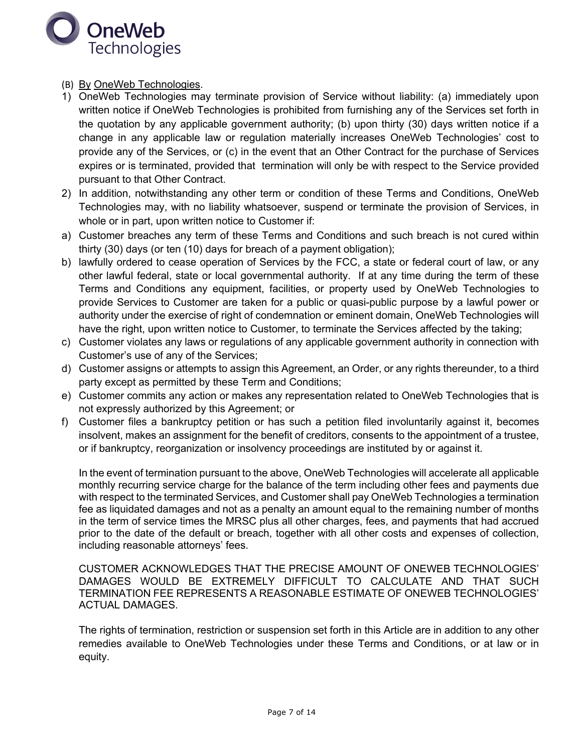

- (B) By OneWeb Technologies.
- 1) OneWeb Technologies may terminate provision of Service without liability: (a) immediately upon written notice if OneWeb Technologies is prohibited from furnishing any of the Services set forth in the quotation by any applicable government authority; (b) upon thirty (30) days written notice if a change in any applicable law or regulation materially increases OneWeb Technologies' cost to provide any of the Services, or (c) in the event that an Other Contract for the purchase of Services expires or is terminated, provided that termination will only be with respect to the Service provided pursuant to that Other Contract.
- 2) In addition, notwithstanding any other term or condition of these Terms and Conditions, OneWeb Technologies may, with no liability whatsoever, suspend or terminate the provision of Services, in whole or in part, upon written notice to Customer if:
- a) Customer breaches any term of these Terms and Conditions and such breach is not cured within thirty (30) days (or ten (10) days for breach of a payment obligation);
- b) lawfully ordered to cease operation of Services by the FCC, a state or federal court of law, or any other lawful federal, state or local governmental authority. If at any time during the term of these Terms and Conditions any equipment, facilities, or property used by OneWeb Technologies to provide Services to Customer are taken for a public or quasi-public purpose by a lawful power or authority under the exercise of right of condemnation or eminent domain, OneWeb Technologies will have the right, upon written notice to Customer, to terminate the Services affected by the taking;
- c) Customer violates any laws or regulations of any applicable government authority in connection with Customer's use of any of the Services;
- d) Customer assigns or attempts to assign this Agreement, an Order, or any rights thereunder, to a third party except as permitted by these Term and Conditions;
- e) Customer commits any action or makes any representation related to OneWeb Technologies that is not expressly authorized by this Agreement; or
- f) Customer files a bankruptcy petition or has such a petition filed involuntarily against it, becomes insolvent, makes an assignment for the benefit of creditors, consents to the appointment of a trustee, or if bankruptcy, reorganization or insolvency proceedings are instituted by or against it.

In the event of termination pursuant to the above, OneWeb Technologies will accelerate all applicable monthly recurring service charge for the balance of the term including other fees and payments due with respect to the terminated Services, and Customer shall pay OneWeb Technologies a termination fee as liquidated damages and not as a penalty an amount equal to the remaining number of months in the term of service times the MRSC plus all other charges, fees, and payments that had accrued prior to the date of the default or breach, together with all other costs and expenses of collection, including reasonable attorneys' fees.

CUSTOMER ACKNOWLEDGES THAT THE PRECISE AMOUNT OF ONEWEB TECHNOLOGIES' DAMAGES WOULD BE EXTREMELY DIFFICULT TO CALCULATE AND THAT SUCH TERMINATION FEE REPRESENTS A REASONABLE ESTIMATE OF ONEWEB TECHNOLOGIES' ACTUAL DAMAGES.

The rights of termination, restriction or suspension set forth in this Article are in addition to any other remedies available to OneWeb Technologies under these Terms and Conditions, or at law or in equity.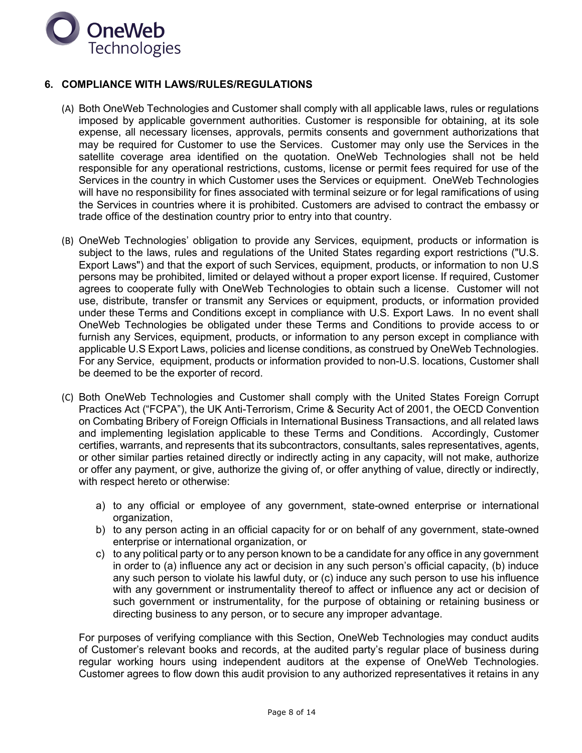

## **6. COMPLIANCE WITH LAWS/RULES/REGULATIONS**

- (A) Both OneWeb Technologies and Customer shall comply with all applicable laws, rules or regulations imposed by applicable government authorities. Customer is responsible for obtaining, at its sole expense, all necessary licenses, approvals, permits consents and government authorizations that may be required for Customer to use the Services. Customer may only use the Services in the satellite coverage area identified on the quotation. OneWeb Technologies shall not be held responsible for any operational restrictions, customs, license or permit fees required for use of the Services in the country in which Customer uses the Services or equipment. OneWeb Technologies will have no responsibility for fines associated with terminal seizure or for legal ramifications of using the Services in countries where it is prohibited. Customers are advised to contract the embassy or trade office of the destination country prior to entry into that country.
- (B) OneWeb Technologies' obligation to provide any Services, equipment, products or information is subject to the laws, rules and regulations of the United States regarding export restrictions ("U.S. Export Laws") and that the export of such Services, equipment, products, or information to non U.S persons may be prohibited, limited or delayed without a proper export license. If required, Customer agrees to cooperate fully with OneWeb Technologies to obtain such a license. Customer will not use, distribute, transfer or transmit any Services or equipment, products, or information provided under these Terms and Conditions except in compliance with U.S. Export Laws. In no event shall OneWeb Technologies be obligated under these Terms and Conditions to provide access to or furnish any Services, equipment, products, or information to any person except in compliance with applicable U.S Export Laws, policies and license conditions, as construed by OneWeb Technologies. For any Service, equipment, products or information provided to non-U.S. locations, Customer shall be deemed to be the exporter of record.
- (C) Both OneWeb Technologies and Customer shall comply with the United States Foreign Corrupt Practices Act ("FCPA"), the UK Anti-Terrorism, Crime & Security Act of 2001, the OECD Convention on Combating Bribery of Foreign Officials in International Business Transactions, and all related laws and implementing legislation applicable to these Terms and Conditions. Accordingly, Customer certifies, warrants, and represents that its subcontractors, consultants, sales representatives, agents, or other similar parties retained directly or indirectly acting in any capacity, will not make, authorize or offer any payment, or give, authorize the giving of, or offer anything of value, directly or indirectly, with respect hereto or otherwise:
	- a) to any official or employee of any government, state-owned enterprise or international organization,
	- b) to any person acting in an official capacity for or on behalf of any government, state-owned enterprise or international organization, or
	- c) to any political party or to any person known to be a candidate for any office in any government in order to (a) influence any act or decision in any such person's official capacity, (b) induce any such person to violate his lawful duty, or (c) induce any such person to use his influence with any government or instrumentality thereof to affect or influence any act or decision of such government or instrumentality, for the purpose of obtaining or retaining business or directing business to any person, or to secure any improper advantage.

For purposes of verifying compliance with this Section, OneWeb Technologies may conduct audits of Customer's relevant books and records, at the audited party's regular place of business during regular working hours using independent auditors at the expense of OneWeb Technologies. Customer agrees to flow down this audit provision to any authorized representatives it retains in any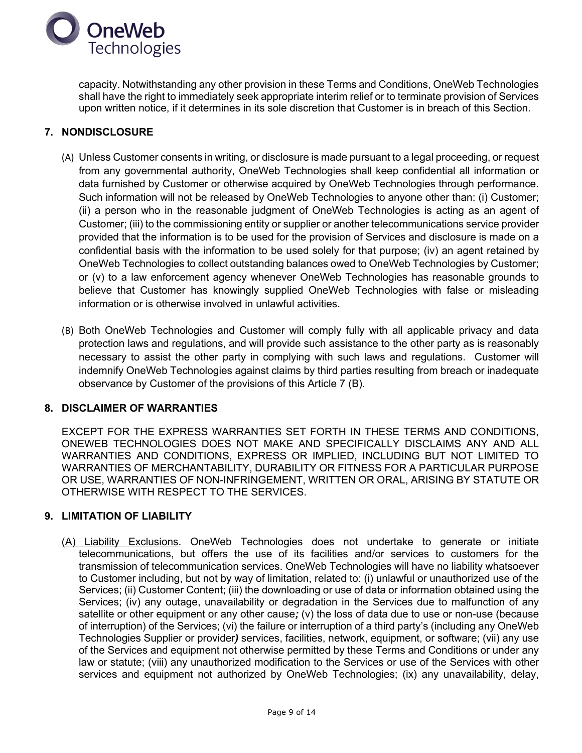

capacity. Notwithstanding any other provision in these Terms and Conditions, OneWeb Technologies shall have the right to immediately seek appropriate interim relief or to terminate provision of Services upon written notice, if it determines in its sole discretion that Customer is in breach of this Section.

## **7. NONDISCLOSURE**

- (A) Unless Customer consents in writing, or disclosure is made pursuant to a legal proceeding, or request from any governmental authority, OneWeb Technologies shall keep confidential all information or data furnished by Customer or otherwise acquired by OneWeb Technologies through performance. Such information will not be released by OneWeb Technologies to anyone other than: (i) Customer; (ii) a person who in the reasonable judgment of OneWeb Technologies is acting as an agent of Customer; (iii) to the commissioning entity or supplier or another telecommunications service provider provided that the information is to be used for the provision of Services and disclosure is made on a confidential basis with the information to be used solely for that purpose; (iv) an agent retained by OneWeb Technologies to collect outstanding balances owed to OneWeb Technologies by Customer; or (v) to a law enforcement agency whenever OneWeb Technologies has reasonable grounds to believe that Customer has knowingly supplied OneWeb Technologies with false or misleading information or is otherwise involved in unlawful activities.
- (B) Both OneWeb Technologies and Customer will comply fully with all applicable privacy and data protection laws and regulations, and will provide such assistance to the other party as is reasonably necessary to assist the other party in complying with such laws and regulations. Customer will indemnify OneWeb Technologies against claims by third parties resulting from breach or inadequate observance by Customer of the provisions of this Article 7 (B).

## **8. DISCLAIMER OF WARRANTIES**

EXCEPT FOR THE EXPRESS WARRANTIES SET FORTH IN THESE TERMS AND CONDITIONS, ONEWEB TECHNOLOGIES DOES NOT MAKE AND SPECIFICALLY DISCLAIMS ANY AND ALL WARRANTIES AND CONDITIONS, EXPRESS OR IMPLIED, INCLUDING BUT NOT LIMITED TO WARRANTIES OF MERCHANTABILITY, DURABILITY OR FITNESS FOR A PARTICULAR PURPOSE OR USE, WARRANTIES OF NON-INFRINGEMENT, WRITTEN OR ORAL, ARISING BY STATUTE OR OTHERWISE WITH RESPECT TO THE SERVICES.

#### **9. LIMITATION OF LIABILITY**

(A) Liability Exclusions. OneWeb Technologies does not undertake to generate or initiate telecommunications, but offers the use of its facilities and/or services to customers for the transmission of telecommunication services. OneWeb Technologies will have no liability whatsoever to Customer including, but not by way of limitation, related to: (i) unlawful or unauthorized use of the Services; (ii) Customer Content; (iii) the downloading or use of data or information obtained using the Services; (iv) any outage, unavailability or degradation in the Services due to malfunction of any satellite or other equipment or any other cause*;* (v) the loss of data due to use or non-use (because of interruption) of the Services; (vi) the failure or interruption of a third party's (including any OneWeb Technologies Supplier or provider*)* services, facilities, network, equipment, or software; (vii) any use of the Services and equipment not otherwise permitted by these Terms and Conditions or under any law or statute; (viii) any unauthorized modification to the Services or use of the Services with other services and equipment not authorized by OneWeb Technologies; (ix) any unavailability, delay,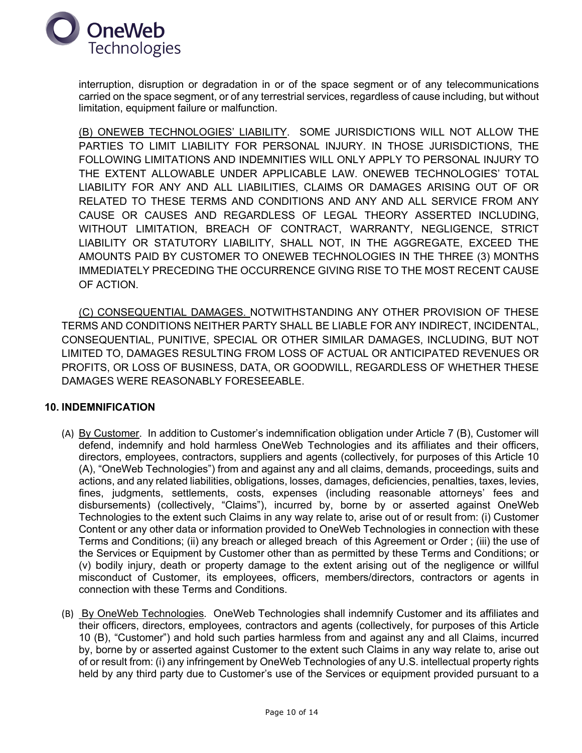

interruption, disruption or degradation in or of the space segment or of any telecommunications carried on the space segment, or of any terrestrial services, regardless of cause including, but without limitation, equipment failure or malfunction.

(B) ONEWEB TECHNOLOGIES' LIABILITY. SOME JURISDICTIONS WILL NOT ALLOW THE PARTIES TO LIMIT LIABILITY FOR PERSONAL INJURY. IN THOSE JURISDICTIONS, THE FOLLOWING LIMITATIONS AND INDEMNITIES WILL ONLY APPLY TO PERSONAL INJURY TO THE EXTENT ALLOWABLE UNDER APPLICABLE LAW. ONEWEB TECHNOLOGIES' TOTAL LIABILITY FOR ANY AND ALL LIABILITIES, CLAIMS OR DAMAGES ARISING OUT OF OR RELATED TO THESE TERMS AND CONDITIONS AND ANY AND ALL SERVICE FROM ANY CAUSE OR CAUSES AND REGARDLESS OF LEGAL THEORY ASSERTED INCLUDING, WITHOUT LIMITATION, BREACH OF CONTRACT, WARRANTY, NEGLIGENCE, STRICT LIABILITY OR STATUTORY LIABILITY, SHALL NOT, IN THE AGGREGATE, EXCEED THE AMOUNTS PAID BY CUSTOMER TO ONEWEB TECHNOLOGIES IN THE THREE (3) MONTHS IMMEDIATELY PRECEDING THE OCCURRENCE GIVING RISE TO THE MOST RECENT CAUSE OF ACTION.

(C) CONSEQUENTIAL DAMAGES. NOTWITHSTANDING ANY OTHER PROVISION OF THESE TERMS AND CONDITIONS NEITHER PARTY SHALL BE LIABLE FOR ANY INDIRECT, INCIDENTAL, CONSEQUENTIAL, PUNITIVE, SPECIAL OR OTHER SIMILAR DAMAGES, INCLUDING, BUT NOT LIMITED TO, DAMAGES RESULTING FROM LOSS OF ACTUAL OR ANTICIPATED REVENUES OR PROFITS, OR LOSS OF BUSINESS, DATA, OR GOODWILL, REGARDLESS OF WHETHER THESE DAMAGES WERE REASONABLY FORESEEABLE.

## **10. INDEMNIFICATION**

- (A) By Customer. In addition to Customer's indemnification obligation under Article 7 (B), Customer will defend, indemnify and hold harmless OneWeb Technologies and its affiliates and their officers, directors, employees, contractors, suppliers and agents (collectively, for purposes of this Article 10 (A), "OneWeb Technologies") from and against any and all claims, demands, proceedings, suits and actions, and any related liabilities, obligations, losses, damages, deficiencies, penalties, taxes, levies, fines, judgments, settlements, costs, expenses (including reasonable attorneys' fees and disbursements) (collectively, "Claims"), incurred by, borne by or asserted against OneWeb Technologies to the extent such Claims in any way relate to, arise out of or result from: (i) Customer Content or any other data or information provided to OneWeb Technologies in connection with these Terms and Conditions; (ii) any breach or alleged breach of this Agreement or Order ; (iii) the use of the Services or Equipment by Customer other than as permitted by these Terms and Conditions; or (v) bodily injury, death or property damage to the extent arising out of the negligence or willful misconduct of Customer, its employees, officers, members/directors, contractors or agents in connection with these Terms and Conditions.
- (B) By OneWeb Technologies*.* OneWeb Technologies shall indemnify Customer and its affiliates and their officers, directors, employees*,* contractors and agents (collectively, for purposes of this Article 10 (B), "Customer") and hold such parties harmless from and against any and all Claims, incurred by, borne by or asserted against Customer to the extent such Claims in any way relate to, arise out of or result from: (i) any infringement by OneWeb Technologies of any U.S. intellectual property rights held by any third party due to Customer's use of the Services or equipment provided pursuant to a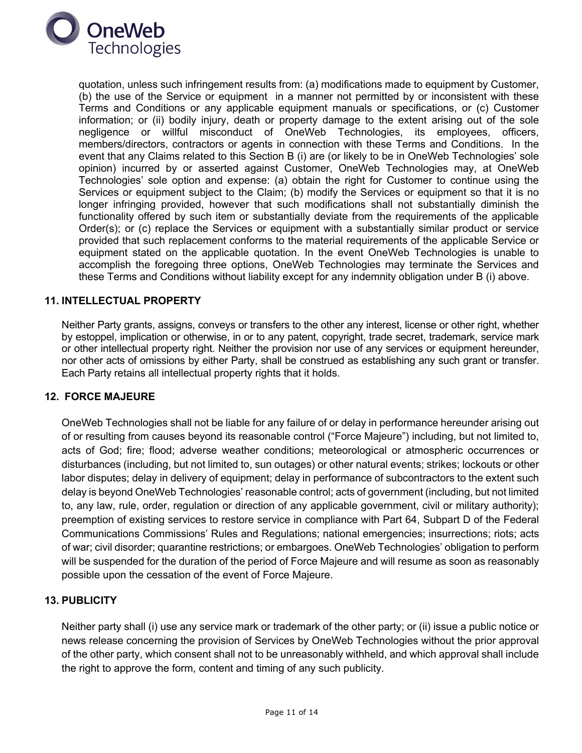

quotation, unless such infringement results from: (a) modifications made to equipment by Customer, (b) the use of the Service or equipment in a manner not permitted by or inconsistent with these Terms and Conditions or any applicable equipment manuals or specifications, or (c) Customer information; or (ii) bodily injury, death or property damage to the extent arising out of the sole negligence or willful misconduct of OneWeb Technologies, its employees, officers, members/directors, contractors or agents in connection with these Terms and Conditions. In the event that any Claims related to this Section B (i) are (or likely to be in OneWeb Technologies' sole opinion) incurred by or asserted against Customer, OneWeb Technologies may, at OneWeb Technologies' sole option and expense: (a) obtain the right for Customer to continue using the Services or equipment subject to the Claim; (b) modify the Services or equipment so that it is no longer infringing provided, however that such modifications shall not substantially diminish the functionality offered by such item or substantially deviate from the requirements of the applicable Order(s); or (c) replace the Services or equipment with a substantially similar product or service provided that such replacement conforms to the material requirements of the applicable Service or equipment stated on the applicable quotation. In the event OneWeb Technologies is unable to accomplish the foregoing three options, OneWeb Technologies may terminate the Services and these Terms and Conditions without liability except for any indemnity obligation under B (i) above.

## **11. INTELLECTUAL PROPERTY**

Neither Party grants, assigns, conveys or transfers to the other any interest, license or other right, whether by estoppel, implication or otherwise, in or to any patent, copyright, trade secret, trademark, service mark or other intellectual property right. Neither the provision nor use of any services or equipment hereunder, nor other acts of omissions by either Party, shall be construed as establishing any such grant or transfer. Each Party retains all intellectual property rights that it holds.

#### **12. FORCE MAJEURE**

OneWeb Technologies shall not be liable for any failure of or delay in performance hereunder arising out of or resulting from causes beyond its reasonable control ("Force Majeure") including, but not limited to, acts of God; fire; flood; adverse weather conditions; meteorological or atmospheric occurrences or disturbances (including, but not limited to, sun outages) or other natural events; strikes; lockouts or other labor disputes; delay in delivery of equipment; delay in performance of subcontractors to the extent such delay is beyond OneWeb Technologies' reasonable control; acts of government (including, but not limited to, any law, rule, order, regulation or direction of any applicable government, civil or military authority); preemption of existing services to restore service in compliance with Part 64, Subpart D of the Federal Communications Commissions' Rules and Regulations; national emergencies; insurrections; riots; acts of war; civil disorder; quarantine restrictions; or embargoes. OneWeb Technologies' obligation to perform will be suspended for the duration of the period of Force Majeure and will resume as soon as reasonably possible upon the cessation of the event of Force Majeure.

#### **13. PUBLICITY**

Neither party shall (i) use any service mark or trademark of the other party; or (ii) issue a public notice or news release concerning the provision of Services by OneWeb Technologies without the prior approval of the other party, which consent shall not to be unreasonably withheld, and which approval shall include the right to approve the form, content and timing of any such publicity.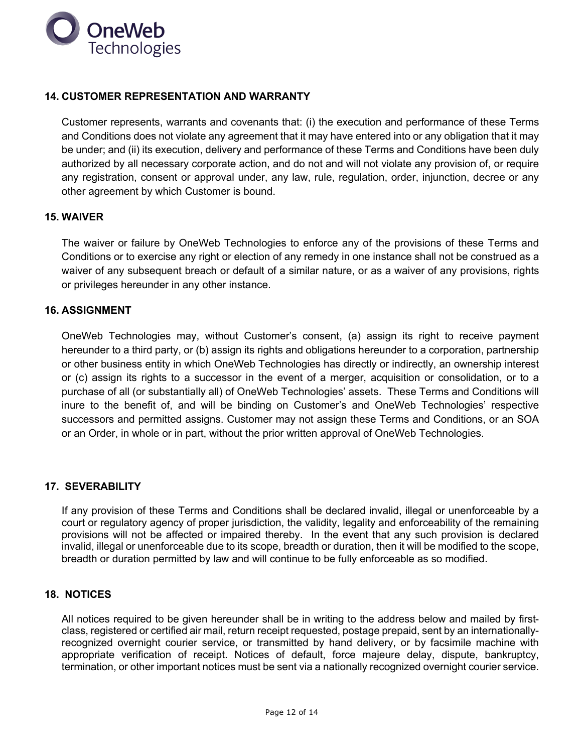

## **14. CUSTOMER REPRESENTATION AND WARRANTY**

Customer represents, warrants and covenants that: (i) the execution and performance of these Terms and Conditions does not violate any agreement that it may have entered into or any obligation that it may be under; and (ii) its execution, delivery and performance of these Terms and Conditions have been duly authorized by all necessary corporate action, and do not and will not violate any provision of, or require any registration, consent or approval under, any law, rule, regulation, order, injunction, decree or any other agreement by which Customer is bound.

## **15. WAIVER**

The waiver or failure by OneWeb Technologies to enforce any of the provisions of these Terms and Conditions or to exercise any right or election of any remedy in one instance shall not be construed as a waiver of any subsequent breach or default of a similar nature, or as a waiver of any provisions, rights or privileges hereunder in any other instance.

## **16. ASSIGNMENT**

OneWeb Technologies may, without Customer's consent, (a) assign its right to receive payment hereunder to a third party, or (b) assign its rights and obligations hereunder to a corporation, partnership or other business entity in which OneWeb Technologies has directly or indirectly, an ownership interest or (c) assign its rights to a successor in the event of a merger, acquisition or consolidation, or to a purchase of all (or substantially all) of OneWeb Technologies' assets. These Terms and Conditions will inure to the benefit of, and will be binding on Customer's and OneWeb Technologies' respective successors and permitted assigns. Customer may not assign these Terms and Conditions, or an SOA or an Order, in whole or in part, without the prior written approval of OneWeb Technologies.

## **17. SEVERABILITY**

If any provision of these Terms and Conditions shall be declared invalid, illegal or unenforceable by a court or regulatory agency of proper jurisdiction, the validity, legality and enforceability of the remaining provisions will not be affected or impaired thereby. In the event that any such provision is declared invalid, illegal or unenforceable due to its scope, breadth or duration, then it will be modified to the scope, breadth or duration permitted by law and will continue to be fully enforceable as so modified.

#### **18. NOTICES**

All notices required to be given hereunder shall be in writing to the address below and mailed by firstclass, registered or certified air mail, return receipt requested, postage prepaid, sent by an internationallyrecognized overnight courier service, or transmitted by hand delivery, or by facsimile machine with appropriate verification of receipt. Notices of default, force majeure delay, dispute, bankruptcy, termination, or other important notices must be sent via a nationally recognized overnight courier service.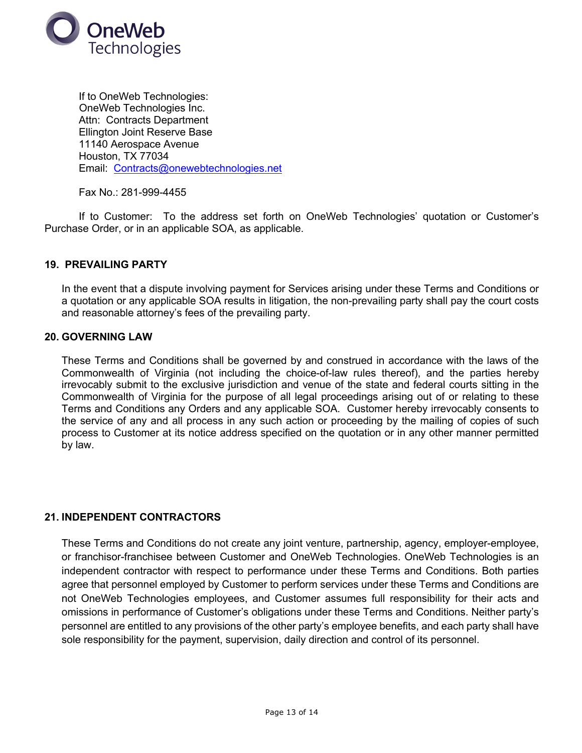

If to OneWeb Technologies: OneWeb Technologies Inc. Attn: Contracts Department Ellington Joint Reserve Base 11140 Aerospace Avenue Houston, TX 77034 Email: Contracts@onewebtechnologies.net

Fax No.: 281-999-4455

If to Customer: To the address set forth on OneWeb Technologies' quotation or Customer's Purchase Order, or in an applicable SOA, as applicable.

## **19. PREVAILING PARTY**

In the event that a dispute involving payment for Services arising under these Terms and Conditions or a quotation or any applicable SOA results in litigation, the non-prevailing party shall pay the court costs and reasonable attorney's fees of the prevailing party.

#### **20. GOVERNING LAW**

These Terms and Conditions shall be governed by and construed in accordance with the laws of the Commonwealth of Virginia (not including the choice-of-law rules thereof), and the parties hereby irrevocably submit to the exclusive jurisdiction and venue of the state and federal courts sitting in the Commonwealth of Virginia for the purpose of all legal proceedings arising out of or relating to these Terms and Conditions any Orders and any applicable SOA. Customer hereby irrevocably consents to the service of any and all process in any such action or proceeding by the mailing of copies of such process to Customer at its notice address specified on the quotation or in any other manner permitted by law.

#### **21. INDEPENDENT CONTRACTORS**

These Terms and Conditions do not create any joint venture, partnership, agency, employer-employee, or franchisor-franchisee between Customer and OneWeb Technologies. OneWeb Technologies is an independent contractor with respect to performance under these Terms and Conditions. Both parties agree that personnel employed by Customer to perform services under these Terms and Conditions are not OneWeb Technologies employees, and Customer assumes full responsibility for their acts and omissions in performance of Customer's obligations under these Terms and Conditions. Neither party's personnel are entitled to any provisions of the other party's employee benefits, and each party shall have sole responsibility for the payment, supervision, daily direction and control of its personnel.